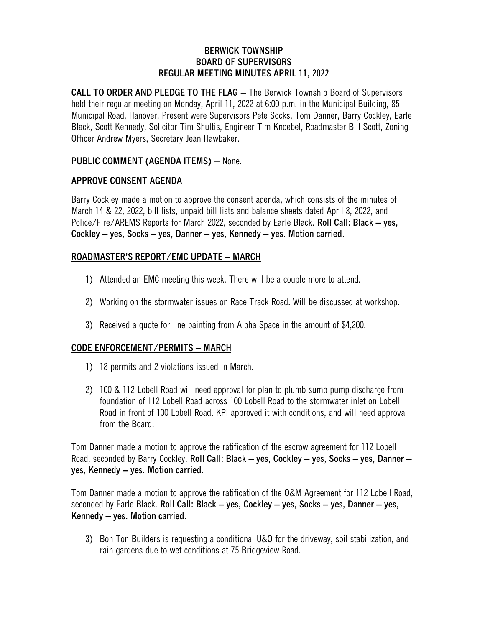#### **BERWICK TOWNSHIP BOARD OF SUPERVISORS REGULAR MEETING MINUTES APRIL 11, 2022**

**CALL TO ORDER AND PLEDGE TO THE FLAG** – The Berwick Township Board of Supervisors held their regular meeting on Monday, April 11, 2022 at 6:00 p.m. in the Municipal Building, 85 Municipal Road, Hanover. Present were Supervisors Pete Socks, Tom Danner, Barry Cockley, Earle Black, Scott Kennedy, Solicitor Tim Shultis, Engineer Tim Knoebel, Roadmaster Bill Scott, Zoning Officer Andrew Myers, Secretary Jean Hawbaker.

## **PUBLIC COMMENT (AGENDA ITEMS)** – None.

#### **APPROVE CONSENT AGENDA**

Barry Cockley made a motion to approve the consent agenda, which consists of the minutes of March 14 & 22, 2022, bill lists, unpaid bill lists and balance sheets dated April 8, 2022, and Police/Fire/AREMS Reports for March 2022, seconded by Earle Black. **Roll Call: Black – yes, Cockley – yes, Socks – yes, Danner – yes, Kennedy – yes. Motion carried.**

### **ROADMASTER'S REPORT/EMC UPDATE – MARCH**

- 1) Attended an EMC meeting this week. There will be a couple more to attend.
- 2) Working on the stormwater issues on Race Track Road. Will be discussed at workshop.
- 3) Received a quote for line painting from Alpha Space in the amount of \$4,200.

#### **CODE ENFORCEMENT/PERMITS – MARCH**

- 1) 18 permits and 2 violations issued in March.
- 2) 100 & 112 Lobell Road will need approval for plan to plumb sump pump discharge from foundation of 112 Lobell Road across 100 Lobell Road to the stormwater inlet on Lobell Road in front of 100 Lobell Road. KPI approved it with conditions, and will need approval from the Board.

Tom Danner made a motion to approve the ratification of the escrow agreement for 112 Lobell Road, seconded by Barry Cockley. **Roll Call: Black – yes, Cockley – yes, Socks – yes, Danner – yes, Kennedy – yes. Motion carried.**

Tom Danner made a motion to approve the ratification of the O&M Agreement for 112 Lobell Road, seconded by Earle Black. **Roll Call: Black – yes, Cockley – yes, Socks – yes, Danner – yes, Kennedy – yes. Motion carried.**

3) Bon Ton Builders is requesting a conditional U&O for the driveway, soil stabilization, and rain gardens due to wet conditions at 75 Bridgeview Road.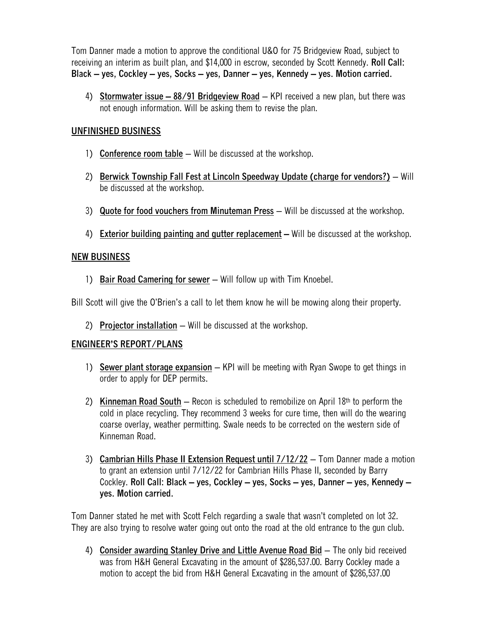Tom Danner made a motion to approve the conditional U&O for 75 Bridgeview Road, subject to receiving an interim as built plan, and \$14,000 in escrow, seconded by Scott Kennedy. **Roll Call: Black – yes, Cockley – yes, Socks – yes, Danner – yes, Kennedy – yes. Motion carried.**

4) **Stormwater issue – 88/91 Bridgeview Road** – KPI received a new plan, but there was not enough information. Will be asking them to revise the plan.

## **UNFINISHED BUSINESS**

- 1) **Conference room table** Will be discussed at the workshop.
- 2) **Berwick Township Fall Fest at Lincoln Speedway Update (charge for vendors?)** Will be discussed at the workshop.
- 3) **Quote for food vouchers from Minuteman Press** Will be discussed at the workshop.
- 4) **Exterior building painting and gutter replacement –** Will be discussed at the workshop.

### **NEW BUSINESS**

1) **Bair Road Camering for sewer** – Will follow up with Tim Knoebel.

Bill Scott will give the O'Brien's a call to let them know he will be mowing along their property.

2) **Projector installation** – Will be discussed at the workshop.

## **ENGINEER'S REPORT/PLANS**

- 1) **Sewer plant storage expansion** KPI will be meeting with Ryan Swope to get things in order to apply for DEP permits.
- 2) **Kinneman Road South** Recon is scheduled to remobilize on April 18th to perform the cold in place recycling. They recommend 3 weeks for cure time, then will do the wearing coarse overlay, weather permitting. Swale needs to be corrected on the western side of Kinneman Road.
- 3) **Cambrian Hills Phase II Extension Request until 7/12/22** Tom Danner made a motion to grant an extension until 7/12/22 for Cambrian Hills Phase II, seconded by Barry Cockley. **Roll Call: Black – yes, Cockley – yes, Socks – yes, Danner – yes, Kennedy – yes. Motion carried.**

Tom Danner stated he met with Scott Felch regarding a swale that wasn't completed on lot 32. They are also trying to resolve water going out onto the road at the old entrance to the gun club.

4) **Consider awarding Stanley Drive and Little Avenue Road Bid** – The only bid received was from H&H General Excavating in the amount of \$286,537.00. Barry Cockley made a motion to accept the bid from H&H General Excavating in the amount of \$286,537.00